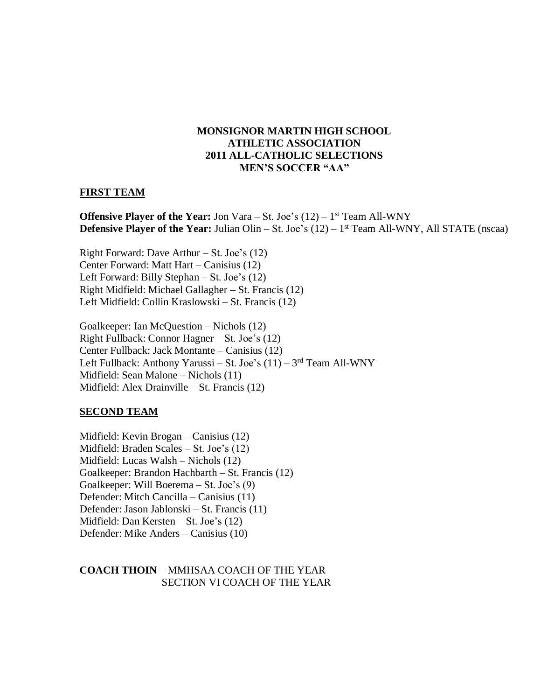# **MONSIGNOR MARTIN HIGH SCHOOL ATHLETIC ASSOCIATION 2011 ALL-CATHOLIC SELECTIONS MEN'S SOCCER "AA"**

### **FIRST TEAM**

**Offensive Player of the Year:** Jon Vara – St. Joe's (12) – 1<sup>st</sup> Team All-WNY **Defensive Player of the Year:** Julian Olin – St. Joe's (12) – 1<sup>st</sup> Team All-WNY, All STATE (nscaa)

Right Forward: Dave Arthur – St. Joe's (12) Center Forward: Matt Hart – Canisius (12) Left Forward: Billy Stephan – St. Joe's (12) Right Midfield: Michael Gallagher – St. Francis (12) Left Midfield: Collin Kraslowski – St. Francis (12)

Goalkeeper: Ian McQuestion – Nichols (12) Right Fullback: Connor Hagner – St. Joe's (12) Center Fullback: Jack Montante – Canisius (12) Left Fullback: Anthony Yarussi – St. Joe's (11) – 3<sup>rd</sup> Team All-WNY Midfield: Sean Malone – Nichols (11) Midfield: Alex Drainville – St. Francis (12)

# **SECOND TEAM**

Midfield: Kevin Brogan – Canisius (12) Midfield: Braden Scales – St. Joe's (12) Midfield: Lucas Walsh – Nichols (12) Goalkeeper: Brandon Hachbarth – St. Francis (12) Goalkeeper: Will Boerema – St. Joe's (9) Defender: Mitch Cancilla – Canisius (11) Defender: Jason Jablonski – St. Francis (11) Midfield: Dan Kersten – St. Joe's (12) Defender: Mike Anders – Canisius (10)

## **COACH THOIN** – MMHSAA COACH OF THE YEAR SECTION VI COACH OF THE YEAR